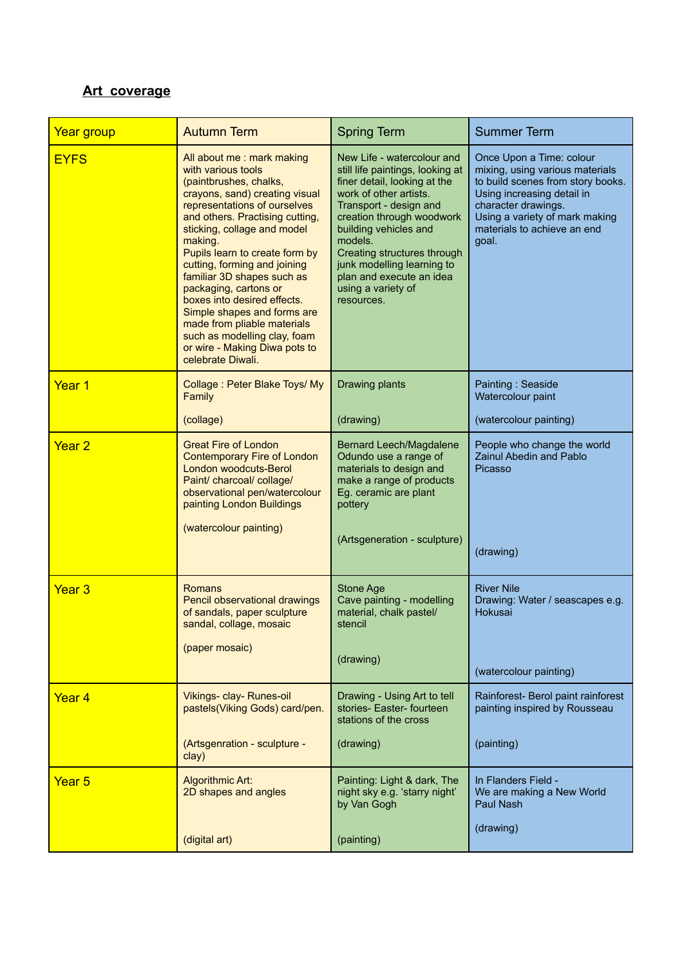## **Art coverage**

| Year group        | <b>Autumn Term</b>                                                                                                                                                                                                                                                                                                                                                                                                                                                                                                                   | <b>Spring Term</b>                                                                                                                                                                                                                                                                                                                               | <b>Summer Term</b>                                                                                                                                                                                                              |
|-------------------|--------------------------------------------------------------------------------------------------------------------------------------------------------------------------------------------------------------------------------------------------------------------------------------------------------------------------------------------------------------------------------------------------------------------------------------------------------------------------------------------------------------------------------------|--------------------------------------------------------------------------------------------------------------------------------------------------------------------------------------------------------------------------------------------------------------------------------------------------------------------------------------------------|---------------------------------------------------------------------------------------------------------------------------------------------------------------------------------------------------------------------------------|
| <b>EYFS</b>       | All about me: mark making<br>with various tools<br>(paintbrushes, chalks,<br>crayons, sand) creating visual<br>representations of ourselves<br>and others. Practising cutting,<br>sticking, collage and model<br>making.<br>Pupils learn to create form by<br>cutting, forming and joining<br>familiar 3D shapes such as<br>packaging, cartons or<br>boxes into desired effects.<br>Simple shapes and forms are<br>made from pliable materials<br>such as modelling clay, foam<br>or wire - Making Diwa pots to<br>celebrate Diwali. | New Life - watercolour and<br>still life paintings, looking at<br>finer detail, looking at the<br>work of other artists.<br>Transport - design and<br>creation through woodwork<br>building vehicles and<br>models.<br>Creating structures through<br>junk modelling learning to<br>plan and execute an idea<br>using a variety of<br>resources. | Once Upon a Time: colour<br>mixing, using various materials<br>to build scenes from story books.<br>Using increasing detail in<br>character drawings.<br>Using a variety of mark making<br>materials to achieve an end<br>goal. |
| Year 1            | Collage: Peter Blake Toys/ My<br>Family<br>(collage)                                                                                                                                                                                                                                                                                                                                                                                                                                                                                 | Drawing plants<br>(drawing)                                                                                                                                                                                                                                                                                                                      | Painting: Seaside<br>Watercolour paint<br>(watercolour painting)                                                                                                                                                                |
| Year <sub>2</sub> | <b>Great Fire of London</b><br><b>Contemporary Fire of London</b><br>London woodcuts-Berol<br>Paint/ charcoal/ collage/<br>observational pen/watercolour<br>painting London Buildings<br>(watercolour painting)                                                                                                                                                                                                                                                                                                                      | <b>Bernard Leech/Magdalene</b><br>Odundo use a range of<br>materials to design and<br>make a range of products<br>Eg. ceramic are plant<br>pottery<br>(Artsgeneration - sculpture)                                                                                                                                                               | People who change the world<br>Zainul Abedin and Pablo<br>Picasso<br>(drawing)                                                                                                                                                  |
| Year <sub>3</sub> | Romans<br>Pencil observational drawings<br>of sandals, paper sculpture<br>sandal, collage, mosaic<br>(paper mosaic)                                                                                                                                                                                                                                                                                                                                                                                                                  | Stone Age<br>Cave painting - modelling<br>material, chalk pastel/<br>stencil<br>(drawing)                                                                                                                                                                                                                                                        | <b>River Nile</b><br>Drawing: Water / seascapes e.g.<br>Hokusai<br>(watercolour painting)                                                                                                                                       |
| Year <sub>4</sub> | Vikings- clay- Runes-oil<br>pastels(Viking Gods) card/pen.<br>(Artsgenration - sculpture -<br>clay)                                                                                                                                                                                                                                                                                                                                                                                                                                  | Drawing - Using Art to tell<br>stories- Easter- fourteen<br>stations of the cross<br>(drawing)                                                                                                                                                                                                                                                   | Rainforest- Berol paint rainforest<br>painting inspired by Rousseau<br>(painting)                                                                                                                                               |
| Year <sub>5</sub> | Algorithmic Art:<br>2D shapes and angles<br>(digital art)                                                                                                                                                                                                                                                                                                                                                                                                                                                                            | Painting: Light & dark, The<br>night sky e.g. 'starry night'<br>by Van Gogh<br>(painting)                                                                                                                                                                                                                                                        | In Flanders Field -<br>We are making a New World<br>Paul Nash<br>(drawing)                                                                                                                                                      |